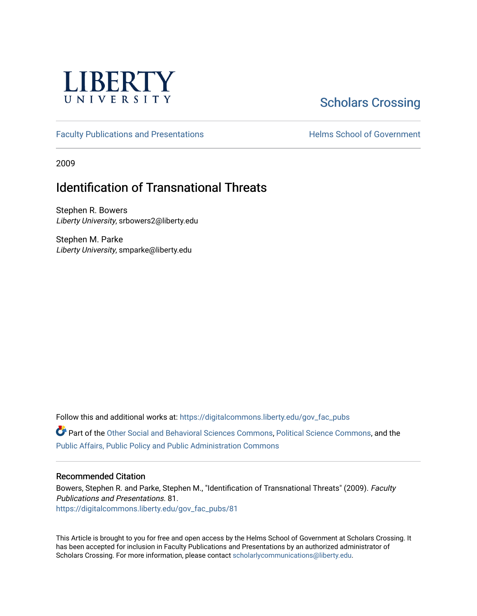

# [Scholars Crossing](https://digitalcommons.liberty.edu/)

[Faculty Publications and Presentations](https://digitalcommons.liberty.edu/gov_fac_pubs) **Exercise School of Government** 

2009

## Identification of Transnational Threats

Stephen R. Bowers Liberty University, srbowers2@liberty.edu

Stephen M. Parke Liberty University, smparke@liberty.edu

Follow this and additional works at: [https://digitalcommons.liberty.edu/gov\\_fac\\_pubs](https://digitalcommons.liberty.edu/gov_fac_pubs?utm_source=digitalcommons.liberty.edu%2Fgov_fac_pubs%2F81&utm_medium=PDF&utm_campaign=PDFCoverPages)

Part of the [Other Social and Behavioral Sciences Commons](http://network.bepress.com/hgg/discipline/437?utm_source=digitalcommons.liberty.edu%2Fgov_fac_pubs%2F81&utm_medium=PDF&utm_campaign=PDFCoverPages), [Political Science Commons](http://network.bepress.com/hgg/discipline/386?utm_source=digitalcommons.liberty.edu%2Fgov_fac_pubs%2F81&utm_medium=PDF&utm_campaign=PDFCoverPages), and the [Public Affairs, Public Policy and Public Administration Commons](http://network.bepress.com/hgg/discipline/393?utm_source=digitalcommons.liberty.edu%2Fgov_fac_pubs%2F81&utm_medium=PDF&utm_campaign=PDFCoverPages)

#### Recommended Citation

Bowers, Stephen R. and Parke, Stephen M., "Identification of Transnational Threats" (2009). Faculty Publications and Presentations. 81. [https://digitalcommons.liberty.edu/gov\\_fac\\_pubs/81](https://digitalcommons.liberty.edu/gov_fac_pubs/81?utm_source=digitalcommons.liberty.edu%2Fgov_fac_pubs%2F81&utm_medium=PDF&utm_campaign=PDFCoverPages) 

This Article is brought to you for free and open access by the Helms School of Government at Scholars Crossing. It has been accepted for inclusion in Faculty Publications and Presentations by an authorized administrator of Scholars Crossing. For more information, please contact [scholarlycommunications@liberty.edu.](mailto:scholarlycommunications@liberty.edu)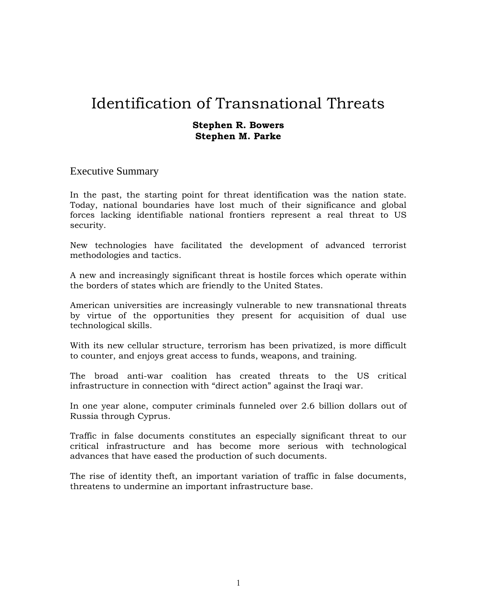#### **Stephen R. Bowers Stephen M. Parke**

#### Executive Summary

In the past, the starting point for threat identification was the nation state. Today, national boundaries have lost much of their significance and global forces lacking identifiable national frontiers represent a real threat to US security.

New technologies have facilitated the development of advanced terrorist methodologies and tactics.

A new and increasingly significant threat is hostile forces which operate within the borders of states which are friendly to the United States.

American universities are increasingly vulnerable to new transnational threats by virtue of the opportunities they present for acquisition of dual use technological skills.

With its new cellular structure, terrorism has been privatized, is more difficult to counter, and enjoys great access to funds, weapons, and training.

The broad anti-war coalition has created threats to the US critical infrastructure in connection with "direct action" against the Iraqi war.

In one year alone, computer criminals funneled over 2.6 billion dollars out of Russia through Cyprus.

Traffic in false documents constitutes an especially significant threat to our critical infrastructure and has become more serious with technological advances that have eased the production of such documents.

The rise of identity theft, an important variation of traffic in false documents, threatens to undermine an important infrastructure base.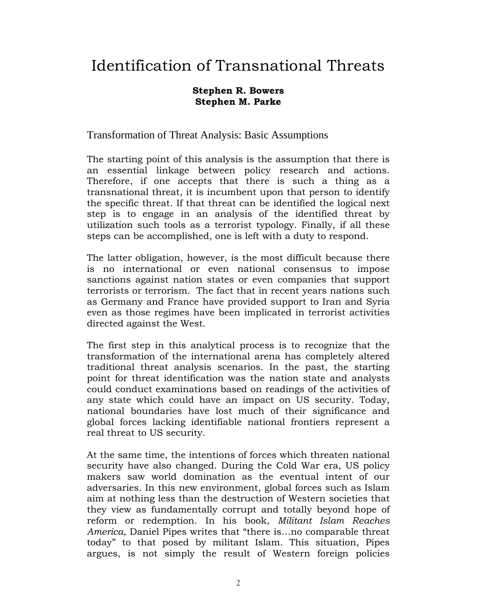## **Stephen R. Bowers Stephen M. Parke**

Transformation of Threat Analysis: Basic Assumptions

The starting point of this analysis is the assumption that there is an essential linkage between policy research and actions. Therefore, if one accepts that there is such a thing as a transnational threat, it is incumbent upon that person to identify the specific threat. If that threat can be identified the logical next step is to engage in an analysis of the identified threat by utilization such tools as a terrorist typology. Finally, if all these steps can be accomplished, one is left with a duty to respond.

The latter obligation, however, is the most difficult because there is no international or even national consensus to impose sanctions against nation states or even companies that support terrorists or terrorism. The fact that in recent years nations such as Germany and France have provided support to Iran and Syria even as those regimes have been implicated in terrorist activities directed against the West.

The first step in this analytical process is to recognize that the transformation of the international arena has completely altered traditional threat analysis scenarios. In the past, the starting point for threat identification was the nation state and analysts could conduct examinations based on readings of the activities of any state which could have an impact on US security. Today, national boundaries have lost much of their significance and global forces lacking identifiable national frontiers represent a real threat to US security.

At the same time, the intentions of forces which threaten national security have also changed. During the Cold War era, US policy makers saw world domination as the eventual intent of our adversaries. In this new environment, global forces such as Islam aim at nothing less than the destruction of Western societies that they view as fundamentally corrupt and totally beyond hope of reform or redemption. In his book, *Militant Islam Reaches America*, Daniel Pipes writes that "there is…no comparable threat today" to that posed by militant Islam. This situation, Pipes argues, is not simply the result of Western foreign policies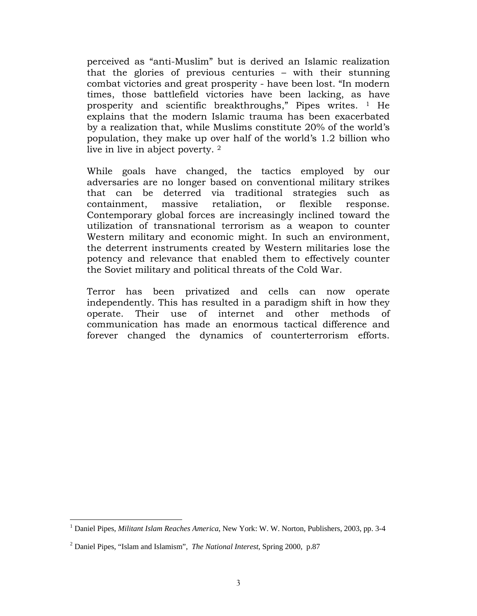perceived as "anti-Muslim" but is derived an Islamic realization that the glories of previous centuries – with their stunning combat victories and great prosperity - have been lost. "In modern times, those battlefield victories have been lacking, as have prosperity and scientific breakthroughs," Pipes writes. 1 He explains that the modern Islamic trauma has been exacerbated by a realization that, while Muslims constitute 20% of the world's population, they make up over half of the world's 1.2 billion who live in live in abject poverty. 2

While goals have changed, the tactics employed by our adversaries are no longer based on conventional military strikes that can be deterred via traditional strategies such as containment, massive retaliation, or flexible response. Contemporary global forces are increasingly inclined toward the utilization of transnational terrorism as a weapon to counter Western military and economic might. In such an environment, the deterrent instruments created by Western militaries lose the potency and relevance that enabled them to effectively counter the Soviet military and political threats of the Cold War.

Terror has been privatized and cells can now operate independently. This has resulted in a paradigm shift in how they operate. Their use of internet and other methods of communication has made an enormous tactical difference and forever changed the dynamics of counterterrorism efforts.

<sup>&</sup>lt;sup>1</sup> Daniel Pipes, *Militant Islam Reaches America*, New York: W. W. Norton, Publishers, 2003, pp. 3-4

<sup>2</sup> Daniel Pipes, "Islam and Islamism", *The National Interest*, Spring 2000, p.87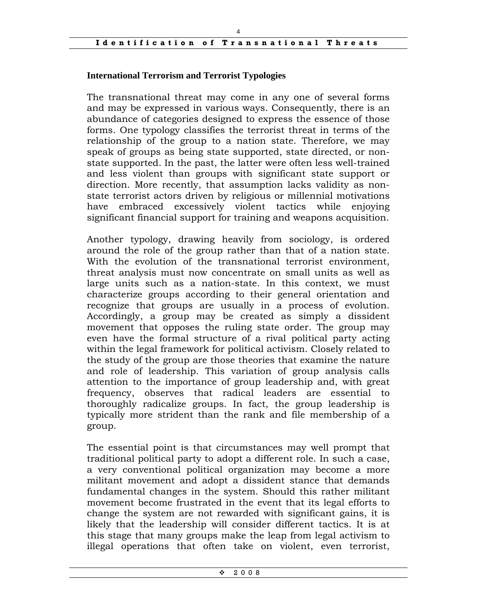### **International Terrorism and Terrorist Typologies**

The transnational threat may come in any one of several forms and may be expressed in various ways. Consequently, there is an abundance of categories designed to express the essence of those forms. One typology classifies the terrorist threat in terms of the relationship of the group to a nation state. Therefore, we may speak of groups as being state supported, state directed, or nonstate supported. In the past, the latter were often less well-trained and less violent than groups with significant state support or direction. More recently, that assumption lacks validity as nonstate terrorist actors driven by religious or millennial motivations have embraced excessively violent tactics while enjoying significant financial support for training and weapons acquisition.

Another typology, drawing heavily from sociology, is ordered around the role of the group rather than that of a nation state. With the evolution of the transnational terrorist environment, threat analysis must now concentrate on small units as well as large units such as a nation-state. In this context, we must characterize groups according to their general orientation and recognize that groups are usually in a process of evolution. Accordingly, a group may be created as simply a dissident movement that opposes the ruling state order. The group may even have the formal structure of a rival political party acting within the legal framework for political activism. Closely related to the study of the group are those theories that examine the nature and role of leadership. This variation of group analysis calls attention to the importance of group leadership and, with great frequency, observes that radical leaders are essential to thoroughly radicalize groups. In fact, the group leadership is typically more strident than the rank and file membership of a group.

The essential point is that circumstances may well prompt that traditional political party to adopt a different role. In such a case, a very conventional political organization may become a more militant movement and adopt a dissident stance that demands fundamental changes in the system. Should this rather militant movement become frustrated in the event that its legal efforts to change the system are not rewarded with significant gains, it is likely that the leadership will consider different tactics. It is at this stage that many groups make the leap from legal activism to illegal operations that often take on violent, even terrorist,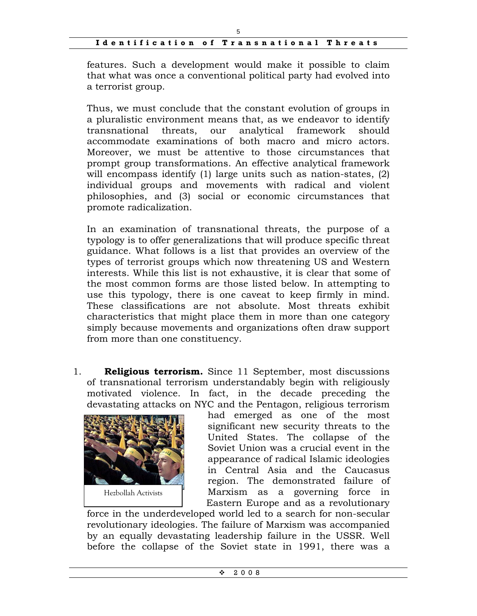features. Such a development would make it possible to claim that what was once a conventional political party had evolved into a terrorist group.

Thus, we must conclude that the constant evolution of groups in a pluralistic environment means that, as we endeavor to identify transnational threats, our analytical framework should accommodate examinations of both macro and micro actors. Moreover, we must be attentive to those circumstances that prompt group transformations. An effective analytical framework will encompass identify (1) large units such as nation-states, (2) individual groups and movements with radical and violent philosophies, and (3) social or economic circumstances that promote radicalization.

In an examination of transnational threats, the purpose of a typology is to offer generalizations that will produce specific threat guidance. What follows is a list that provides an overview of the types of terrorist groups which now threatening US and Western interests. While this list is not exhaustive, it is clear that some of the most common forms are those listed below. In attempting to use this typology, there is one caveat to keep firmly in mind. These classifications are not absolute. Most threats exhibit characteristics that might place them in more than one category simply because movements and organizations often draw support from more than one constituency.

1. **Religious terrorism.** Since 11 September, most discussions of transnational terrorism understandably begin with religiously motivated violence. In fact, in the decade preceding the devastating attacks on NYC and the Pentagon, religious terrorism



had emerged as one of the most significant new security threats to the United States. The collapse of the Soviet Union was a crucial event in the appearance of radical Islamic ideologies in Central Asia and the Caucasus region. The demonstrated failure of Marxism as a governing force in Eastern Europe and as a revolutionary

force in the underdeveloped world led to a search for non-secular revolutionary ideologies. The failure of Marxism was accompanied by an equally devastating leadership failure in the USSR. Well before the collapse of the Soviet state in 1991, there was a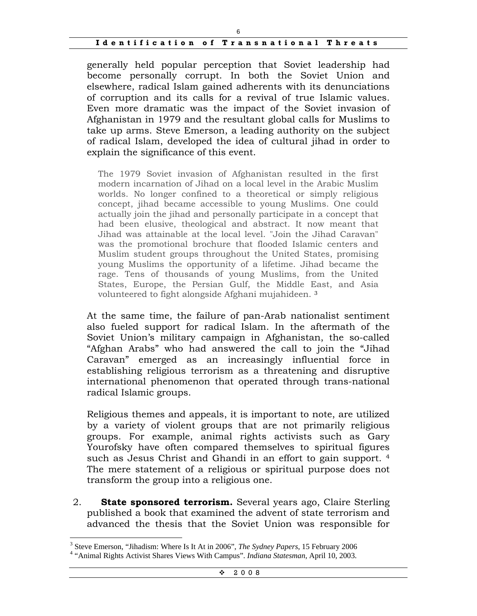generally held popular perception that Soviet leadership had become personally corrupt. In both the Soviet Union and elsewhere, radical Islam gained adherents with its denunciations of corruption and its calls for a revival of true Islamic values. Even more dramatic was the impact of the Soviet invasion of Afghanistan in 1979 and the resultant global calls for Muslims to take up arms. Steve Emerson, a leading authority on the subject of radical Islam, developed the idea of cultural jihad in order to explain the significance of this event.

The 1979 Soviet invasion of Afghanistan resulted in the first modern incarnation of Jihad on a local level in the Arabic Muslim worlds. No longer confined to a theoretical or simply religious concept, jihad became accessible to young Muslims. One could actually join the jihad and personally participate in a concept that had been elusive, theological and abstract. It now meant that Jihad was attainable at the local level. "Join the Jihad Caravan" was the promotional brochure that flooded Islamic centers and Muslim student groups throughout the United States, promising young Muslims the opportunity of a lifetime. Jihad became the rage. Tens of thousands of young Muslims, from the United States, Europe, the Persian Gulf, the Middle East, and Asia volunteered to fight alongside Afghani mujahideen. <sup>3</sup>

At the same time, the failure of pan-Arab nationalist sentiment also fueled support for radical Islam. In the aftermath of the Soviet Union's military campaign in Afghanistan, the so-called "Afghan Arabs" who had answered the call to join the "Jihad Caravan" emerged as an increasingly influential force in establishing religious terrorism as a threatening and disruptive international phenomenon that operated through trans-national radical Islamic groups.

Religious themes and appeals, it is important to note, are utilized by a variety of violent groups that are not primarily religious groups. For example, animal rights activists such as Gary Yourofsky have often compared themselves to spiritual figures such as Jesus Christ and Ghandi in an effort to gain support. 4 The mere statement of a religious or spiritual purpose does not transform the group into a religious one.

2. **State sponsored terrorism.** Several years ago, Claire Sterling published a book that examined the advent of state terrorism and advanced the thesis that the Soviet Union was responsible for

<sup>&</sup>lt;sup>3</sup> Steve Emerson, "Jihadism: Where Is It At in 2006", *The Sydney Papers*, 15 February 2006<br><sup>4</sup> "Animal Bights Activist Shares Views With Compus", Indiana Statesman, April 10, 2003

 <sup>&</sup>quot;Animal Rights Activist Shares Views With Campus". *Indiana Statesman*, April 10, 2003.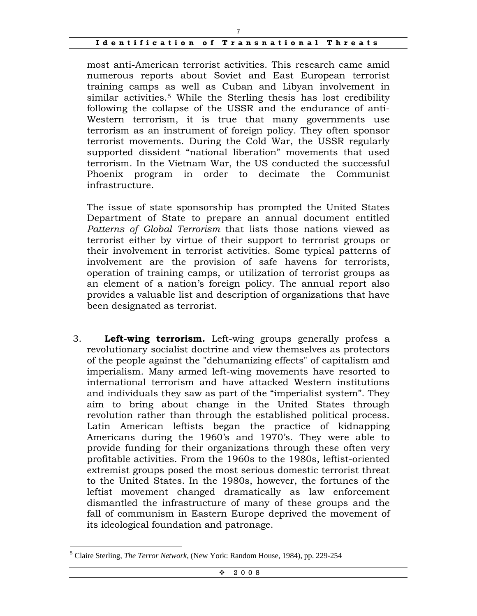most anti-American terrorist activities. This research came amid numerous reports about Soviet and East European terrorist training camps as well as Cuban and Libyan involvement in similar activities.<sup>5</sup> While the Sterling thesis has lost credibility following the collapse of the USSR and the endurance of anti-Western terrorism, it is true that many governments use terrorism as an instrument of foreign policy. They often sponsor terrorist movements. During the Cold War, the USSR regularly supported dissident "national liberation" movements that used terrorism. In the Vietnam War, the US conducted the successful Phoenix program in order to decimate the Communist infrastructure.

The issue of state sponsorship has prompted the United States Department of State to prepare an annual document entitled *Patterns of Global Terrorism* that lists those nations viewed as terrorist either by virtue of their support to terrorist groups or their involvement in terrorist activities. Some typical patterns of involvement are the provision of safe havens for terrorists, operation of training camps, or utilization of terrorist groups as an element of a nation's foreign policy. The annual report also provides a valuable list and description of organizations that have been designated as terrorist.

3. **Left-wing terrorism.** Left-wing groups generally profess a revolutionary socialist doctrine and view themselves as protectors of the people against the "dehumanizing effects" of capitalism and imperialism. Many armed left-wing movements have resorted to international terrorism and have attacked Western institutions and individuals they saw as part of the "imperialist system". They aim to bring about change in the United States through revolution rather than through the established political process. Latin American leftists began the practice of kidnapping Americans during the 1960's and 1970's. They were able to provide funding for their organizations through these often very profitable activities. From the 1960s to the 1980s, leftist-oriented extremist groups posed the most serious domestic terrorist threat to the United States. In the 1980s, however, the fortunes of the leftist movement changed dramatically as law enforcement dismantled the infrastructure of many of these groups and the fall of communism in Eastern Europe deprived the movement of its ideological foundation and patronage.

 $\overline{a}$ 5 Claire Sterling, *The Terror Network*, (New York: Random House, 1984), pp. 229-254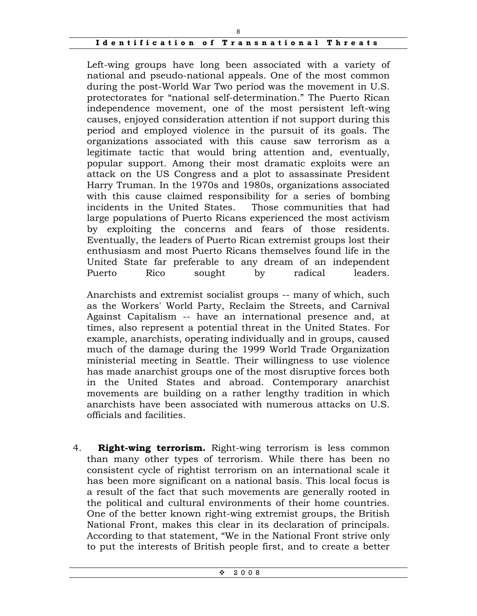Left-wing groups have long been associated with a variety of national and pseudo-national appeals. One of the most common during the post-World War Two period was the movement in U.S. protectorates for "national self-determination." The Puerto Rican independence movement, one of the most persistent left-wing causes, enjoyed consideration attention if not support during this period and employed violence in the pursuit of its goals. The organizations associated with this cause saw terrorism as a legitimate tactic that would bring attention and, eventually, popular support. Among their most dramatic exploits were an attack on the US Congress and a plot to assassinate President Harry Truman. In the 1970s and 1980s, organizations associated with this cause claimed responsibility for a series of bombing incidents in the United States. Those communities that had large populations of Puerto Ricans experienced the most activism by exploiting the concerns and fears of those residents. Eventually, the leaders of Puerto Rican extremist groups lost their enthusiasm and most Puerto Ricans themselves found life in the United State far preferable to any dream of an independent Puerto Rico sought by radical leaders.

Anarchists and extremist socialist groups -- many of which, such as the Workers' World Party, Reclaim the Streets, and Carnival Against Capitalism -- have an international presence and, at times, also represent a potential threat in the United States. For example, anarchists, operating individually and in groups, caused much of the damage during the 1999 World Trade Organization ministerial meeting in Seattle. Their willingness to use violence has made anarchist groups one of the most disruptive forces both in the United States and abroad. Contemporary anarchist movements are building on a rather lengthy tradition in which anarchists have been associated with numerous attacks on U.S. officials and facilities.

4. **Right-wing terrorism.** Right-wing terrorism is less common than many other types of terrorism. While there has been no consistent cycle of rightist terrorism on an international scale it has been more significant on a national basis. This local focus is a result of the fact that such movements are generally rooted in the political and cultural environments of their home countries. One of the better known right-wing extremist groups, the British National Front, makes this clear in its declaration of principals. According to that statement, "We in the National Front strive only to put the interests of British people first, and to create a better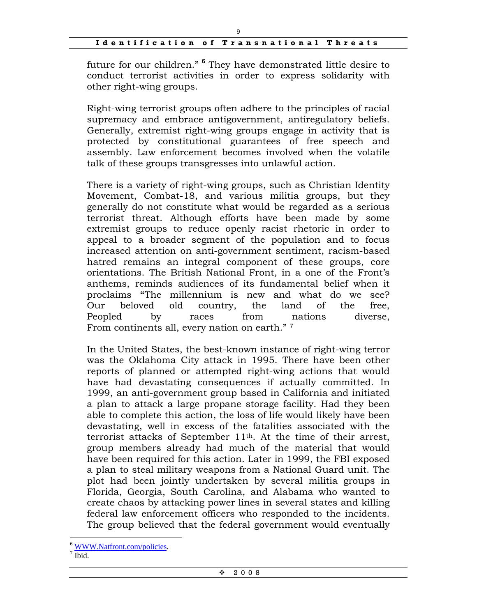future for our children." **<sup>6</sup>** They have demonstrated little desire to conduct terrorist activities in order to express solidarity with other right-wing groups.

Right-wing terrorist groups often adhere to the principles of racial supremacy and embrace antigovernment, antiregulatory beliefs. Generally, extremist right-wing groups engage in activity that is protected by constitutional guarantees of free speech and assembly. Law enforcement becomes involved when the volatile talk of these groups transgresses into unlawful action.

There is a variety of right-wing groups, such as Christian Identity Movement, Combat-18, and various militia groups, but they generally do not constitute what would be regarded as a serious terrorist threat. Although efforts have been made by some extremist groups to reduce openly racist rhetoric in order to appeal to a broader segment of the population and to focus increased attention on anti-government sentiment, racism-based hatred remains an integral component of these groups, core orientations. The British National Front, in a one of the Front's anthems, reminds audiences of its fundamental belief when it proclaims **"**The millennium is new and what do we see? Our beloved old country, the land of the free, Peopled by races from nations diverse, From continents all, every nation on earth." 7

In the United States, the best-known instance of right-wing terror was the Oklahoma City attack in 1995. There have been other reports of planned or attempted right-wing actions that would have had devastating consequences if actually committed. In 1999, an anti-government group based in California and initiated a plan to attack a large propane storage facility. Had they been able to complete this action, the loss of life would likely have been devastating, well in excess of the fatalities associated with the terrorist attacks of September 11th. At the time of their arrest, group members already had much of the material that would have been required for this action. Later in 1999, the FBI exposed a plan to steal military weapons from a National Guard unit. The plot had been jointly undertaken by several militia groups in Florida, Georgia, South Carolina, and Alabama who wanted to create chaos by attacking power lines in several states and killing federal law enforcement officers who responded to the incidents. The group believed that the federal government would eventually

<sup>&</sup>lt;sup>6</sup> WWW.Natfront.com/policies.

 $<sup>7</sup>$  Ibid.</sup>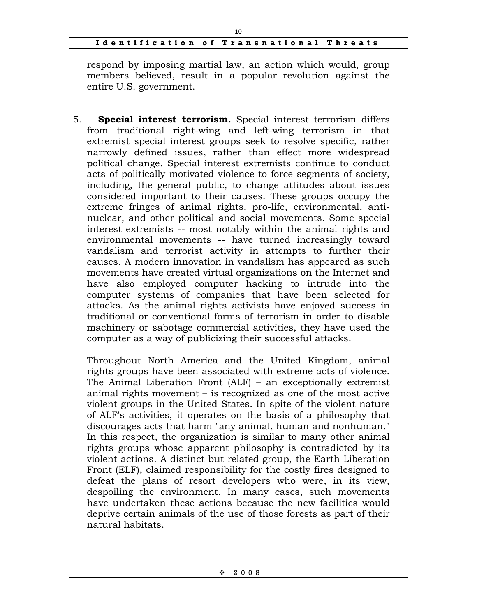10

respond by imposing martial law, an action which would, group members believed, result in a popular revolution against the entire U.S. government.

5. **Special interest terrorism.** Special interest terrorism differs from traditional right-wing and left-wing terrorism in that extremist special interest groups seek to resolve specific, rather narrowly defined issues, rather than effect more widespread political change. Special interest extremists continue to conduct acts of politically motivated violence to force segments of society, including, the general public, to change attitudes about issues considered important to their causes. These groups occupy the extreme fringes of animal rights, pro-life, environmental, antinuclear, and other political and social movements. Some special interest extremists -- most notably within the animal rights and environmental movements -- have turned increasingly toward vandalism and terrorist activity in attempts to further their causes. A modern innovation in vandalism has appeared as such movements have created virtual organizations on the Internet and have also employed computer hacking to intrude into the computer systems of companies that have been selected for attacks. As the animal rights activists have enjoyed success in traditional or conventional forms of terrorism in order to disable machinery or sabotage commercial activities, they have used the computer as a way of publicizing their successful attacks.

Throughout North America and the United Kingdom, animal rights groups have been associated with extreme acts of violence. The Animal Liberation Front (ALF) – an exceptionally extremist animal rights movement – is recognized as one of the most active violent groups in the United States. In spite of the violent nature of ALF's activities, it operates on the basis of a philosophy that discourages acts that harm "any animal, human and nonhuman." In this respect, the organization is similar to many other animal rights groups whose apparent philosophy is contradicted by its violent actions. A distinct but related group, the Earth Liberation Front (ELF), claimed responsibility for the costly fires designed to defeat the plans of resort developers who were, in its view, despoiling the environment. In many cases, such movements have undertaken these actions because the new facilities would deprive certain animals of the use of those forests as part of their natural habitats.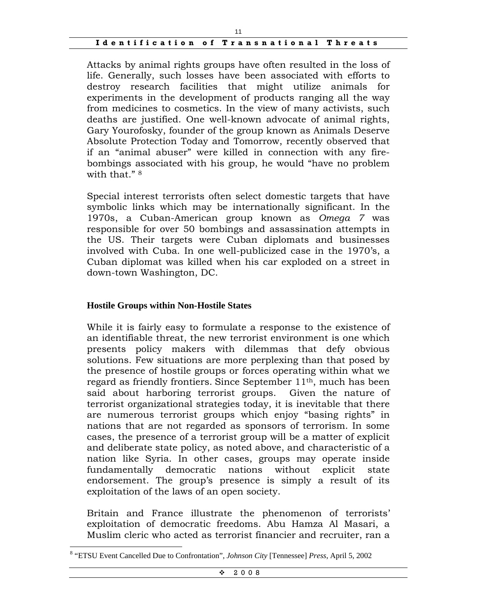Attacks by animal rights groups have often resulted in the loss of life. Generally, such losses have been associated with efforts to destroy research facilities that might utilize animals for experiments in the development of products ranging all the way from medicines to cosmetics. In the view of many activists, such deaths are justified. One well-known advocate of animal rights, Gary Yourofosky, founder of the group known as Animals Deserve Absolute Protection Today and Tomorrow, recently observed that if an "animal abuser" were killed in connection with any firebombings associated with his group, he would "have no problem with that." <sup>8</sup>

Special interest terrorists often select domestic targets that have symbolic links which may be internationally significant. In the 1970s, a Cuban-American group known as *Omega 7* was responsible for over 50 bombings and assassination attempts in the US. Their targets were Cuban diplomats and businesses involved with Cuba. In one well-publicized case in the 1970's, a Cuban diplomat was killed when his car exploded on a street in down-town Washington, DC.

#### **Hostile Groups within Non-Hostile States**

 $\overline{a}$ 

While it is fairly easy to formulate a response to the existence of an identifiable threat, the new terrorist environment is one which presents policy makers with dilemmas that defy obvious solutions. Few situations are more perplexing than that posed by the presence of hostile groups or forces operating within what we regard as friendly frontiers. Since September  $11<sup>th</sup>$ , much has been said about harboring terrorist groups. Given the nature of terrorist organizational strategies today, it is inevitable that there are numerous terrorist groups which enjoy "basing rights" in nations that are not regarded as sponsors of terrorism. In some cases, the presence of a terrorist group will be a matter of explicit and deliberate state policy, as noted above, and characteristic of a nation like Syria. In other cases, groups may operate inside fundamentally democratic nations without explicit state endorsement. The group's presence is simply a result of its exploitation of the laws of an open society.

Britain and France illustrate the phenomenon of terrorists' exploitation of democratic freedoms. Abu Hamza Al Masari, a Muslim cleric who acted as terrorist financier and recruiter, ran a

<sup>8</sup> "ETSU Event Cancelled Due to Confrontation", *Johnson City* [Tennessee] *Press*, April 5, 2002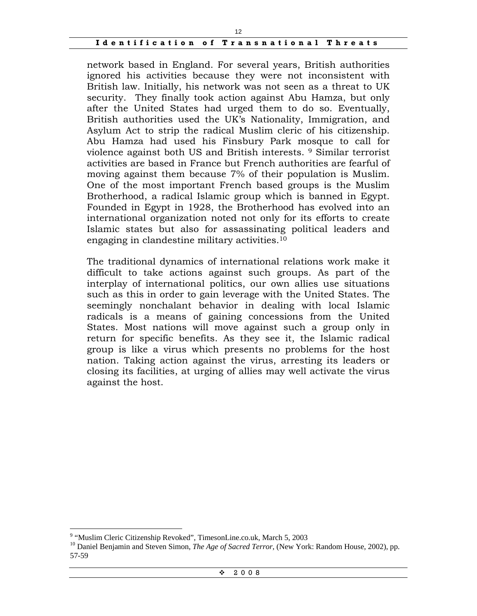network based in England. For several years, British authorities ignored his activities because they were not inconsistent with British law. Initially, his network was not seen as a threat to UK security. They finally took action against Abu Hamza, but only after the United States had urged them to do so. Eventually, British authorities used the UK's Nationality, Immigration, and Asylum Act to strip the radical Muslim cleric of his citizenship. Abu Hamza had used his Finsbury Park mosque to call for violence against both US and British interests. 9 Similar terrorist activities are based in France but French authorities are fearful of moving against them because 7% of their population is Muslim. One of the most important French based groups is the Muslim Brotherhood, a radical Islamic group which is banned in Egypt. Founded in Egypt in 1928, the Brotherhood has evolved into an international organization noted not only for its efforts to create Islamic states but also for assassinating political leaders and engaging in clandestine military activities.10

The traditional dynamics of international relations work make it difficult to take actions against such groups. As part of the interplay of international politics, our own allies use situations such as this in order to gain leverage with the United States. The seemingly nonchalant behavior in dealing with local Islamic radicals is a means of gaining concessions from the United States. Most nations will move against such a group only in return for specific benefits. As they see it, the Islamic radical group is like a virus which presents no problems for the host nation. Taking action against the virus, arresting its leaders or closing its facilities, at urging of allies may well activate the virus against the host.

 $\overline{a}$ 

 $\div$  2008

<sup>&</sup>lt;sup>9</sup> "Muslim Cleric Citizenship Revoked", TimesonLine.co.uk, March 5, 2003

<sup>&</sup>lt;sup>10</sup> Daniel Benjamin and Steven Simon, *The Age of Sacred Terror*, (New York: Random House, 2002), pp. 57-59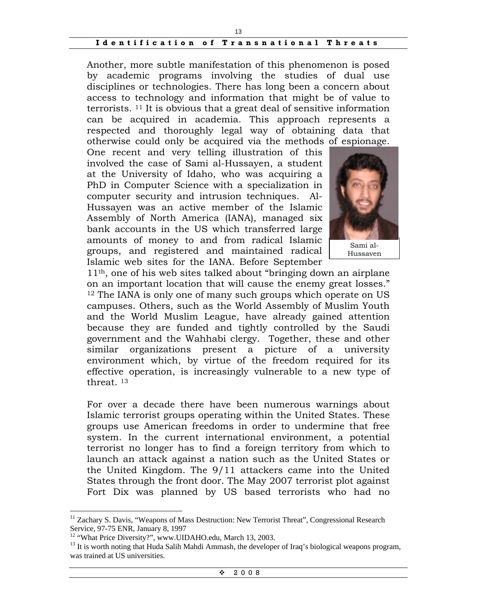Another, more subtle manifestation of this phenomenon is posed by academic programs involving the studies of dual use disciplines or technologies. There has long been a concern about access to technology and information that might be of value to terrorists. 11 It is obvious that a great deal of sensitive information can be acquired in academia. This approach represents a respected and thoroughly legal way of obtaining data that otherwise could only be acquired via the methods of espionage.

One recent and very telling illustration of this involved the case of Sami al-Hussayen, a student at the University of Idaho, who was acquiring a PhD in Computer Science with a specialization in computer security and intrusion techniques. Al-Hussayen was an active member of the Islamic Assembly of North America (IANA), managed six bank accounts in the US which transferred large amounts of money to and from radical Islamic groups, and registered and maintained radical Islamic web sites for the IANA. Before September



Hussayen

11th, one of his web sites talked about "bringing down an airplane on an important location that will cause the enemy great losses." <sup>12</sup> The IANA is only one of many such groups which operate on US campuses. Others, such as the World Assembly of Muslim Youth and the World Muslim League, have already gained attention because they are funded and tightly controlled by the Saudi government and the Wahhabi clergy. Together, these and other similar organizations present a picture of a university environment which, by virtue of the freedom required for its effective operation, is increasingly vulnerable to a new type of threat. 13

For over a decade there have been numerous warnings about Islamic terrorist groups operating within the United States. These groups use American freedoms in order to undermine that free system. In the current international environment, a potential terrorist no longer has to find a foreign territory from which to launch an attack against a nation such as the United States or the United Kingdom. The 9/11 attackers came into the United States through the front door. The May 2007 terrorist plot against Fort Dix was planned by US based terrorists who had no

<sup>&</sup>lt;sup>11</sup> Zachary S. Davis, "Weapons of Mass Destruction: New Terrorist Threat", Congressional Research Service, 97-75 ENR, January 8, 1997

<sup>&</sup>lt;sup>12</sup> "What Price Diversity?", www.UIDAHO.edu, March 13, 2003.

<sup>&</sup>lt;sup>13</sup> It is worth noting that Huda Salih Mahdi Ammash, the developer of Iraq's biological weapons program, was trained at US universities.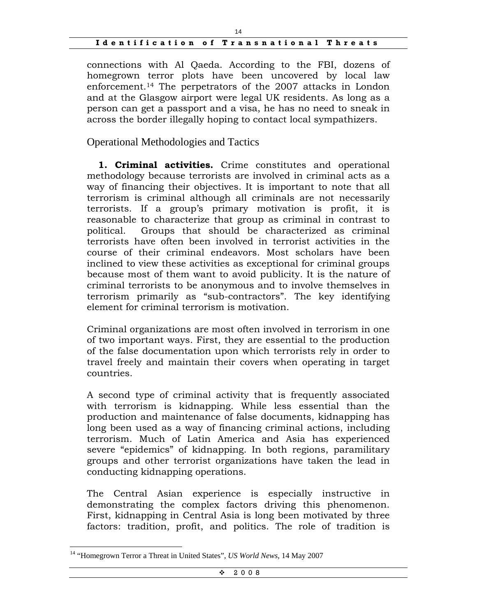connections with Al Qaeda. According to the FBI, dozens of homegrown terror plots have been uncovered by local law enforcement.14 The perpetrators of the 2007 attacks in London and at the Glasgow airport were legal UK residents. As long as a person can get a passport and a visa, he has no need to sneak in across the border illegally hoping to contact local sympathizers.

Operational Methodologies and Tactics

 **1. Criminal activities.** Crime constitutes and operational methodology because terrorists are involved in criminal acts as a way of financing their objectives. It is important to note that all terrorism is criminal although all criminals are not necessarily terrorists. If a group's primary motivation is profit, it is reasonable to characterize that group as criminal in contrast to political. Groups that should be characterized as criminal terrorists have often been involved in terrorist activities in the course of their criminal endeavors. Most scholars have been inclined to view these activities as exceptional for criminal groups because most of them want to avoid publicity. It is the nature of criminal terrorists to be anonymous and to involve themselves in terrorism primarily as "sub-contractors". The key identifying element for criminal terrorism is motivation.

Criminal organizations are most often involved in terrorism in one of two important ways. First, they are essential to the production of the false documentation upon which terrorists rely in order to travel freely and maintain their covers when operating in target countries.

A second type of criminal activity that is frequently associated with terrorism is kidnapping. While less essential than the production and maintenance of false documents, kidnapping has long been used as a way of financing criminal actions, including terrorism. Much of Latin America and Asia has experienced severe "epidemics" of kidnapping. In both regions, paramilitary groups and other terrorist organizations have taken the lead in conducting kidnapping operations.

The Central Asian experience is especially instructive in demonstrating the complex factors driving this phenomenon. First, kidnapping in Central Asia is long been motivated by three factors: tradition, profit, and politics. The role of tradition is

<sup>14 &</sup>quot;Homegrown Terror a Threat in United States", *US World News*, 14 May 2007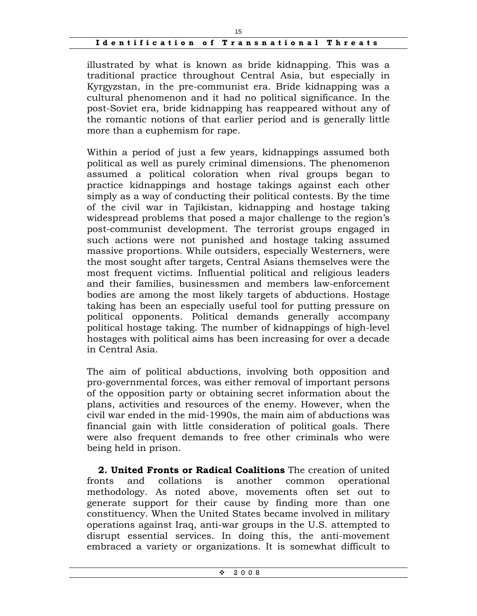illustrated by what is known as bride kidnapping. This was a traditional practice throughout Central Asia, but especially in Kyrgyzstan, in the pre-communist era. Bride kidnapping was a cultural phenomenon and it had no political significance. In the post-Soviet era, bride kidnapping has reappeared without any of the romantic notions of that earlier period and is generally little more than a euphemism for rape.

Within a period of just a few years, kidnappings assumed both political as well as purely criminal dimensions. The phenomenon assumed a political coloration when rival groups began to practice kidnappings and hostage takings against each other simply as a way of conducting their political contests. By the time of the civil war in Tajikistan, kidnapping and hostage taking widespread problems that posed a major challenge to the region's post-communist development. The terrorist groups engaged in such actions were not punished and hostage taking assumed massive proportions. While outsiders, especially Westerners, were the most sought after targets, Central Asians themselves were the most frequent victims. Influential political and religious leaders and their families, businessmen and members law-enforcement bodies are among the most likely targets of abductions. Hostage taking has been an especially useful tool for putting pressure on political opponents. Political demands generally accompany political hostage taking. The number of kidnappings of high-level hostages with political aims has been increasing for over a decade in Central Asia.

The aim of political abductions, involving both opposition and pro-governmental forces, was either removal of important persons of the opposition party or obtaining secret information about the plans, activities and resources of the enemy. However, when the civil war ended in the mid-1990s, the main aim of abductions was financial gain with little consideration of political goals. There were also frequent demands to free other criminals who were being held in prison.

**2. United Fronts or Radical Coalitions** The creation of united fronts and collations is another common operational methodology. As noted above, movements often set out to generate support for their cause by finding more than one constituency. When the United States became involved in military operations against Iraq, anti-war groups in the U.S. attempted to disrupt essential services. In doing this, the anti-movement embraced a variety or organizations. It is somewhat difficult to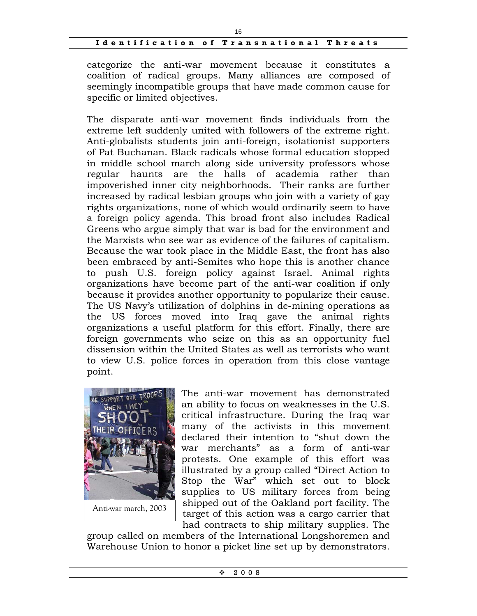categorize the anti-war movement because it constitutes a coalition of radical groups. Many alliances are composed of seemingly incompatible groups that have made common cause for specific or limited objectives.

The disparate anti-war movement finds individuals from the extreme left suddenly united with followers of the extreme right. Anti-globalists students join anti-foreign, isolationist supporters of Pat Buchanan. Black radicals whose formal education stopped in middle school march along side university professors whose regular haunts are the halls of academia rather than impoverished inner city neighborhoods. Their ranks are further increased by radical lesbian groups who join with a variety of gay rights organizations, none of which would ordinarily seem to have a foreign policy agenda. This broad front also includes Radical Greens who argue simply that war is bad for the environment and the Marxists who see war as evidence of the failures of capitalism. Because the war took place in the Middle East, the front has also been embraced by anti-Semites who hope this is another chance to push U.S. foreign policy against Israel. Animal rights organizations have become part of the anti-war coalition if only because it provides another opportunity to popularize their cause. The US Navy's utilization of dolphins in de-mining operations as the US forces moved into Iraq gave the animal rights organizations a useful platform for this effort. Finally, there are foreign governments who seize on this as an opportunity fuel dissension within the United States as well as terrorists who want to view U.S. police forces in operation from this close vantage point.



The anti-war movement has demonstrated an ability to focus on weaknesses in the U.S. critical infrastructure. During the Iraq war many of the activists in this movement declared their intention to "shut down the war merchants" as a form of anti-war protests. One example of this effort was illustrated by a group called "Direct Action to Stop the War" which set out to block supplies to US military forces from being shipped out of the Oakland port facility. The target of this action was a cargo carrier that had contracts to ship military supplies. The

group called on members of the International Longshoremen and Warehouse Union to honor a picket line set up by demonstrators.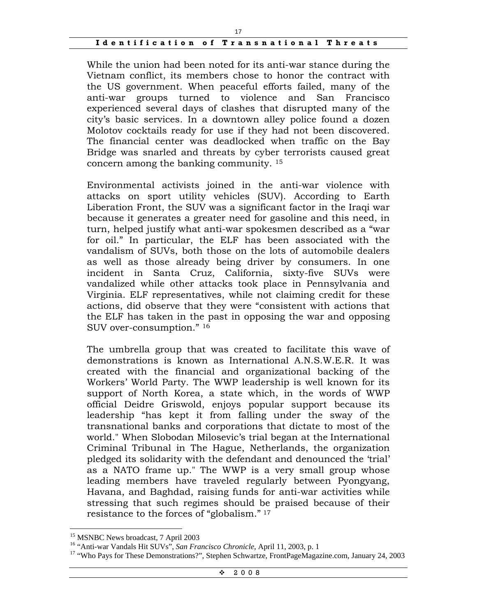While the union had been noted for its anti-war stance during the Vietnam conflict, its members chose to honor the contract with the US government. When peaceful efforts failed, many of the anti-war groups turned to violence and San Francisco experienced several days of clashes that disrupted many of the city's basic services. In a downtown alley police found a dozen Molotov cocktails ready for use if they had not been discovered. The financial center was deadlocked when traffic on the Bay Bridge was snarled and threats by cyber terrorists caused great concern among the banking community. 15

Environmental activists joined in the anti-war violence with attacks on sport utility vehicles (SUV). According to Earth Liberation Front, the SUV was a significant factor in the Iraqi war because it generates a greater need for gasoline and this need, in turn, helped justify what anti-war spokesmen described as a "war for oil." In particular, the ELF has been associated with the vandalism of SUVs, both those on the lots of automobile dealers as well as those already being driver by consumers. In one incident in Santa Cruz, California, sixty-five SUVs were vandalized while other attacks took place in Pennsylvania and Virginia. ELF representatives, while not claiming credit for these actions, did observe that they were "consistent with actions that the ELF has taken in the past in opposing the war and opposing SUV over-consumption." 16

The umbrella group that was created to facilitate this wave of demonstrations is known as International A.N.S.W.E.R. It was created with the financial and organizational backing of the Workers' World Party. The WWP leadership is well known for its support of North Korea, a state which, in the words of WWP official Deidre Griswold, enjoys popular support because its leadership "has kept it from falling under the sway of the transnational banks and corporations that dictate to most of the world." When Slobodan Milosevic's trial began at the International Criminal Tribunal in The Hague, Netherlands, the organization pledged its solidarity with the defendant and denounced the 'trial' as a NATO frame up." The WWP is a very small group whose leading members have traveled regularly between Pyongyang, Havana, and Baghdad, raising funds for anti-war activities while stressing that such regimes should be praised because of their resistance to the forces of "globalism." <sup>17</sup>

<sup>&</sup>lt;sup>15</sup> MSNBC News broadcast, 7 April 2003

<sup>&</sup>lt;sup>16</sup> "Anti-war Vandals Hit SUVs", *San Francisco Chronicle*, April 11, 2003, p. 1<br><sup>17</sup> "Who Pays for These Demonstrations?", Stephen Schwartze, FrontPageMagazine.com, January 24, 2003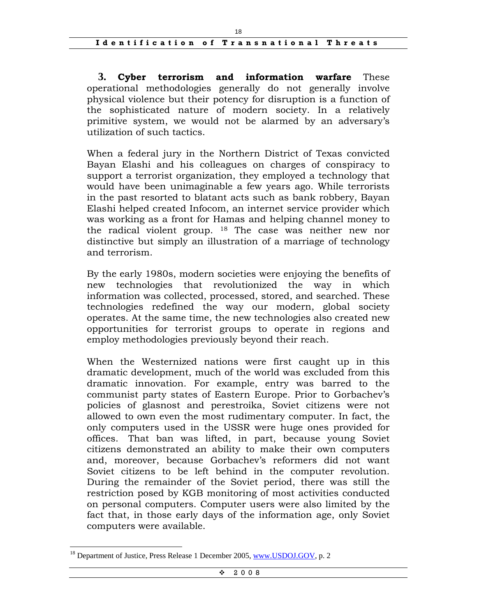**3. Cyber terrorism and information warfare** These operational methodologies generally do not generally involve physical violence but their potency for disruption is a function of the sophisticated nature of modern society. In a relatively primitive system, we would not be alarmed by an adversary's utilization of such tactics.

When a federal jury in the Northern District of Texas convicted Bayan Elashi and his colleagues on charges of conspiracy to support a terrorist organization, they employed a technology that would have been unimaginable a few years ago. While terrorists in the past resorted to blatant acts such as bank robbery, Bayan Elashi helped created Infocom, an internet service provider which was working as a front for Hamas and helping channel money to the radical violent group. 18 The case was neither new nor distinctive but simply an illustration of a marriage of technology and terrorism.

By the early 1980s, modern societies were enjoying the benefits of new technologies that revolutionized the way in which information was collected, processed, stored, and searched. These technologies redefined the way our modern, global society operates. At the same time, the new technologies also created new opportunities for terrorist groups to operate in regions and employ methodologies previously beyond their reach.

When the Westernized nations were first caught up in this dramatic development, much of the world was excluded from this dramatic innovation. For example, entry was barred to the communist party states of Eastern Europe. Prior to Gorbachev's policies of glasnost and perestroika, Soviet citizens were not allowed to own even the most rudimentary computer. In fact, the only computers used in the USSR were huge ones provided for offices. That ban was lifted, in part, because young Soviet citizens demonstrated an ability to make their own computers and, moreover, because Gorbachev's reformers did not want Soviet citizens to be left behind in the computer revolution. During the remainder of the Soviet period, there was still the restriction posed by KGB monitoring of most activities conducted on personal computers. Computer users were also limited by the fact that, in those early days of the information age, only Soviet computers were available.

Department of Justice, Press Release 1 December 2005, www.USDOJ.GOV, p. 2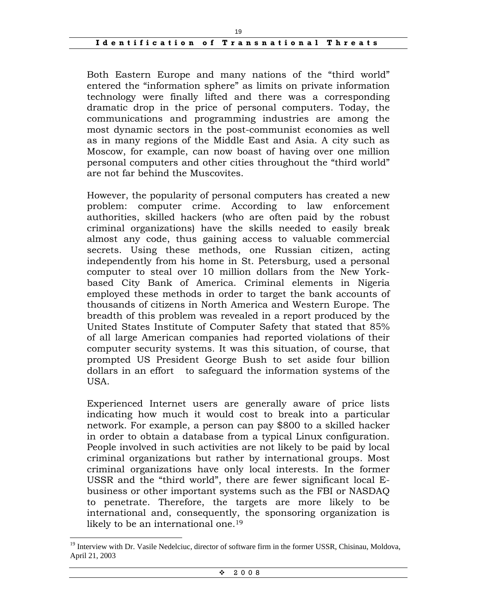Both Eastern Europe and many nations of the "third world" entered the "information sphere" as limits on private information technology were finally lifted and there was a corresponding dramatic drop in the price of personal computers. Today, the communications and programming industries are among the most dynamic sectors in the post-communist economies as well as in many regions of the Middle East and Asia. A city such as Moscow, for example, can now boast of having over one million personal computers and other cities throughout the "third world" are not far behind the Muscovites.

However, the popularity of personal computers has created a new problem: computer crime. According to law enforcement authorities, skilled hackers (who are often paid by the robust criminal organizations) have the skills needed to easily break almost any code, thus gaining access to valuable commercial secrets. Using these methods, one Russian citizen, acting independently from his home in St. Petersburg, used a personal computer to steal over 10 million dollars from the New Yorkbased City Bank of America. Criminal elements in Nigeria employed these methods in order to target the bank accounts of thousands of citizens in North America and Western Europe. The breadth of this problem was revealed in a report produced by the United States Institute of Computer Safety that stated that 85% of all large American companies had reported violations of their computer security systems. It was this situation, of course, that prompted US President George Bush to set aside four billion dollars in an effort to safeguard the information systems of the USA.

Experienced Internet users are generally aware of price lists indicating how much it would cost to break into a particular network. For example, a person can pay \$800 to a skilled hacker in order to obtain a database from a typical Linux configuration. People involved in such activities are not likely to be paid by local criminal organizations but rather by international groups. Most criminal organizations have only local interests. In the former USSR and the "third world", there are fewer significant local Ebusiness or other important systems such as the FBI or NASDAQ to penetrate. Therefore, the targets are more likely to be international and, consequently, the sponsoring organization is likely to be an international one.<sup>19</sup>

<sup>&</sup>lt;sup>19</sup> Interview with Dr. Vasile Nedelciuc, director of software firm in the former USSR, Chisinau, Moldova, April 21, 2003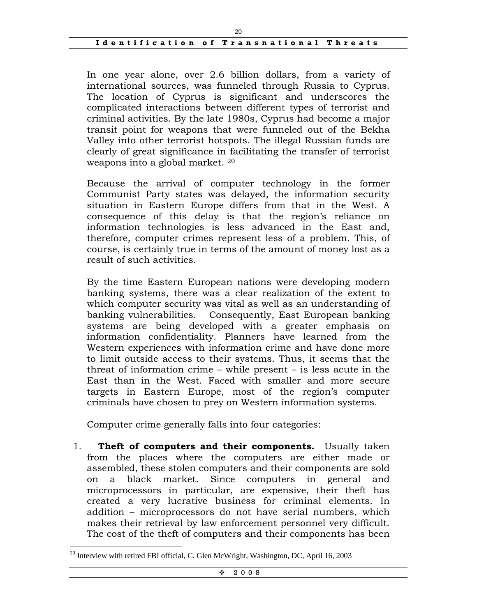In one year alone, over 2.6 billion dollars, from a variety of international sources, was funneled through Russia to Cyprus. The location of Cyprus is significant and underscores the complicated interactions between different types of terrorist and criminal activities. By the late 1980s, Cyprus had become a major transit point for weapons that were funneled out of the Bekha Valley into other terrorist hotspots. The illegal Russian funds are clearly of great significance in facilitating the transfer of terrorist weapons into a global market. 20

Because the arrival of computer technology in the former Communist Party states was delayed, the information security situation in Eastern Europe differs from that in the West. A consequence of this delay is that the region's reliance on information technologies is less advanced in the East and, therefore, computer crimes represent less of a problem. This, of course, is certainly true in terms of the amount of money lost as a result of such activities.

By the time Eastern European nations were developing modern banking systems, there was a clear realization of the extent to which computer security was vital as well as an understanding of banking vulnerabilities. Consequently, East European banking systems are being developed with a greater emphasis on information confidentiality. Planners have learned from the Western experiences with information crime and have done more to limit outside access to their systems. Thus, it seems that the threat of information crime – while present – is less acute in the East than in the West. Faced with smaller and more secure targets in Eastern Europe, most of the region's computer criminals have chosen to prey on Western information systems.

Computer crime generally falls into four categories:

1. **Theft of computers and their components.** Usually taken from the places where the computers are either made or assembled, these stolen computers and their components are sold on a black market. Since computers in general and microprocessors in particular, are expensive, their theft has created a very lucrative business for criminal elements. In addition – microprocessors do not have serial numbers, which makes their retrieval by law enforcement personnel very difficult. The cost of the theft of computers and their components has been

 $20$  Interview with retired FBI official, C. Glen McWright, Washington, DC, April 16, 2003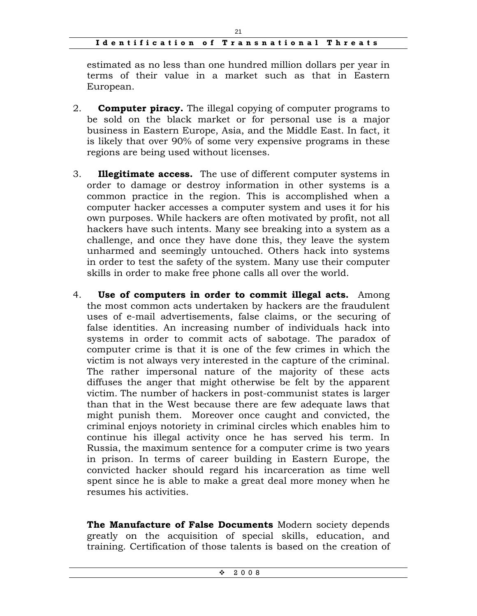estimated as no less than one hundred million dollars per year in terms of their value in a market such as that in Eastern European.

- 2. **Computer piracy.** The illegal copying of computer programs to be sold on the black market or for personal use is a major business in Eastern Europe, Asia, and the Middle East. In fact, it is likely that over 90% of some very expensive programs in these regions are being used without licenses.
- 3. **Illegitimate access.** The use of different computer systems in order to damage or destroy information in other systems is a common practice in the region. This is accomplished when a computer hacker accesses a computer system and uses it for his own purposes. While hackers are often motivated by profit, not all hackers have such intents. Many see breaking into a system as a challenge, and once they have done this, they leave the system unharmed and seemingly untouched. Others hack into systems in order to test the safety of the system. Many use their computer skills in order to make free phone calls all over the world.
- 4. **Use of computers in order to commit illegal acts.** Among the most common acts undertaken by hackers are the fraudulent uses of e-mail advertisements, false claims, or the securing of false identities. An increasing number of individuals hack into systems in order to commit acts of sabotage. The paradox of computer crime is that it is one of the few crimes in which the victim is not always very interested in the capture of the criminal. The rather impersonal nature of the majority of these acts diffuses the anger that might otherwise be felt by the apparent victim. The number of hackers in post-communist states is larger than that in the West because there are few adequate laws that might punish them. Moreover once caught and convicted, the criminal enjoys notoriety in criminal circles which enables him to continue his illegal activity once he has served his term. In Russia, the maximum sentence for a computer crime is two years in prison. In terms of career building in Eastern Europe, the convicted hacker should regard his incarceration as time well spent since he is able to make a great deal more money when he resumes his activities.

**The Manufacture of False Documents** Modern society depends greatly on the acquisition of special skills, education, and training. Certification of those talents is based on the creation of

 $\div$  2008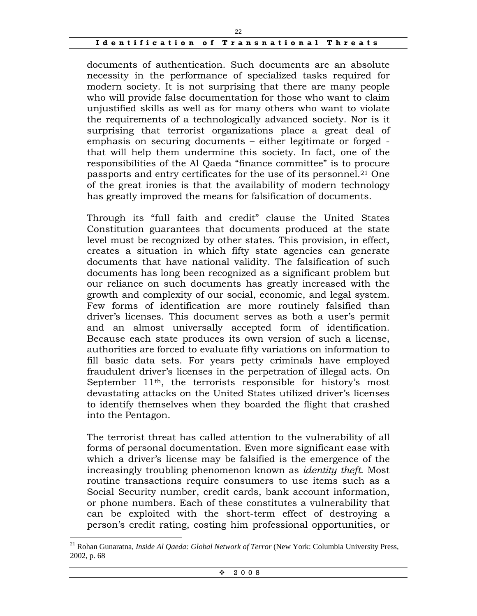documents of authentication. Such documents are an absolute necessity in the performance of specialized tasks required for modern society. It is not surprising that there are many people who will provide false documentation for those who want to claim unjustified skills as well as for many others who want to violate the requirements of a technologically advanced society. Nor is it surprising that terrorist organizations place a great deal of emphasis on securing documents – either legitimate or forged that will help them undermine this society. In fact, one of the responsibilities of the Al Qaeda "finance committee" is to procure passports and entry certificates for the use of its personnel.21 One of the great ironies is that the availability of modern technology has greatly improved the means for falsification of documents.

Through its "full faith and credit" clause the United States Constitution guarantees that documents produced at the state level must be recognized by other states. This provision, in effect, creates a situation in which fifty state agencies can generate documents that have national validity. The falsification of such documents has long been recognized as a significant problem but our reliance on such documents has greatly increased with the growth and complexity of our social, economic, and legal system. Few forms of identification are more routinely falsified than driver's licenses. This document serves as both a user's permit and an almost universally accepted form of identification. Because each state produces its own version of such a license, authorities are forced to evaluate fifty variations on information to fill basic data sets. For years petty criminals have employed fraudulent driver's licenses in the perpetration of illegal acts. On September 11<sup>th</sup>, the terrorists responsible for history's most devastating attacks on the United States utilized driver's licenses to identify themselves when they boarded the flight that crashed into the Pentagon.

The terrorist threat has called attention to the vulnerability of all forms of personal documentation. Even more significant ease with which a driver's license may be falsified is the emergence of the increasingly troubling phenomenon known as *identity theft*. Most routine transactions require consumers to use items such as a Social Security number, credit cards, bank account information, or phone numbers. Each of these constitutes a vulnerability that can be exploited with the short-term effect of destroying a person's credit rating, costing him professional opportunities, or

<sup>21</sup> Rohan Gunaratna, *Inside Al Qaeda: Global Network of Terror* (New York: Columbia University Press, 2002, p. 68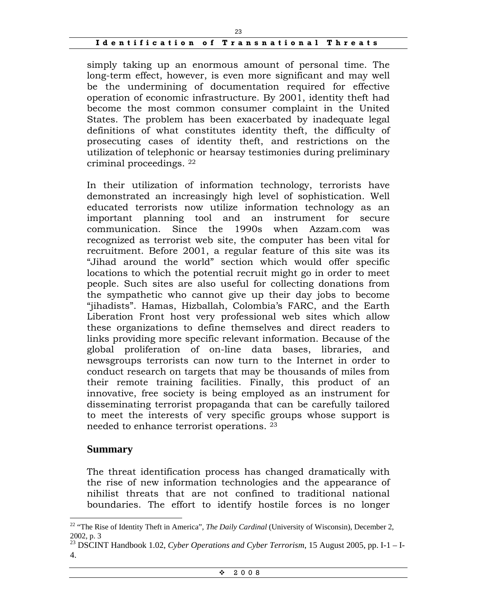simply taking up an enormous amount of personal time. The long-term effect, however, is even more significant and may well be the undermining of documentation required for effective operation of economic infrastructure. By 2001, identity theft had become the most common consumer complaint in the United States. The problem has been exacerbated by inadequate legal definitions of what constitutes identity theft, the difficulty of prosecuting cases of identity theft, and restrictions on the utilization of telephonic or hearsay testimonies during preliminary criminal proceedings. 22

In their utilization of information technology, terrorists have demonstrated an increasingly high level of sophistication. Well educated terrorists now utilize information technology as an important planning tool and an instrument for secure communication. Since the 1990s when Azzam.com was recognized as terrorist web site, the computer has been vital for recruitment. Before 2001, a regular feature of this site was its "Jihad around the world" section which would offer specific locations to which the potential recruit might go in order to meet people. Such sites are also useful for collecting donations from the sympathetic who cannot give up their day jobs to become "jihadists". Hamas, Hizballah, Colombia's FARC, and the Earth Liberation Front host very professional web sites which allow these organizations to define themselves and direct readers to links providing more specific relevant information. Because of the global proliferation of on-line data bases, libraries, and newsgroups terrorists can now turn to the Internet in order to conduct research on targets that may be thousands of miles from their remote training facilities. Finally, this product of an innovative, free society is being employed as an instrument for disseminating terrorist propaganda that can be carefully tailored to meet the interests of very specific groups whose support is needed to enhance terrorist operations. 23

#### **Summary**

 $\overline{a}$ 

The threat identification process has changed dramatically with the rise of new information technologies and the appearance of nihilist threats that are not confined to traditional national boundaries. The effort to identify hostile forces is no longer

 $\div$  2008

<sup>22 &</sup>quot;The Rise of Identity Theft in America", *The Daily Cardinal* (University of Wisconsin), December 2, 2002, p. 3

<sup>23</sup> DSCINT Handbook 1.02, *Cyber Operations and Cyber Terrorism*, 15 August 2005, pp. I-1 – I-4.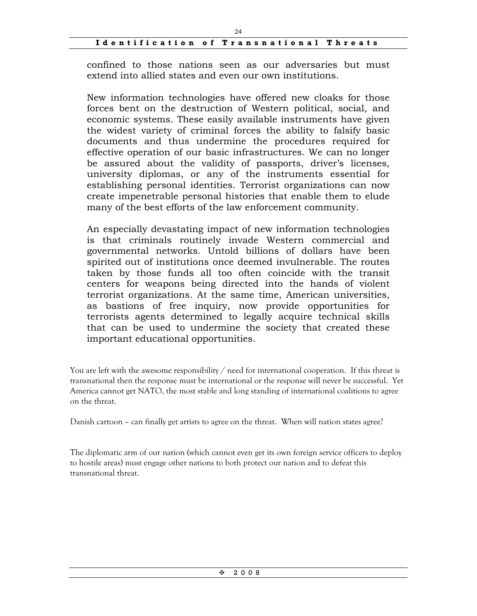confined to those nations seen as our adversaries but must extend into allied states and even our own institutions.

New information technologies have offered new cloaks for those forces bent on the destruction of Western political, social, and economic systems. These easily available instruments have given the widest variety of criminal forces the ability to falsify basic documents and thus undermine the procedures required for effective operation of our basic infrastructures. We can no longer be assured about the validity of passports, driver's licenses, university diplomas, or any of the instruments essential for establishing personal identities. Terrorist organizations can now create impenetrable personal histories that enable them to elude many of the best efforts of the law enforcement community.

An especially devastating impact of new information technologies is that criminals routinely invade Western commercial and governmental networks. Untold billions of dollars have been spirited out of institutions once deemed invulnerable. The routes taken by those funds all too often coincide with the transit centers for weapons being directed into the hands of violent terrorist organizations. At the same time, American universities, as bastions of free inquiry, now provide opportunities for terrorists agents determined to legally acquire technical skills that can be used to undermine the society that created these important educational opportunities.

You are left with the awesome responsibility  $/$  need for international cooperation. If this threat is transnational then the response must be international or the response will never be successful. Yet America cannot get NATO, the most stable and long standing of international coalitions to agree on the threat.

Danish cartoon – can finally get artists to agree on the threat. When will nation states agree?

The diplomatic arm of our nation (which cannot even get its own foreign service officers to deploy to hostile areas) must engage other nations to both protect our nation and to defeat this transnational threat.